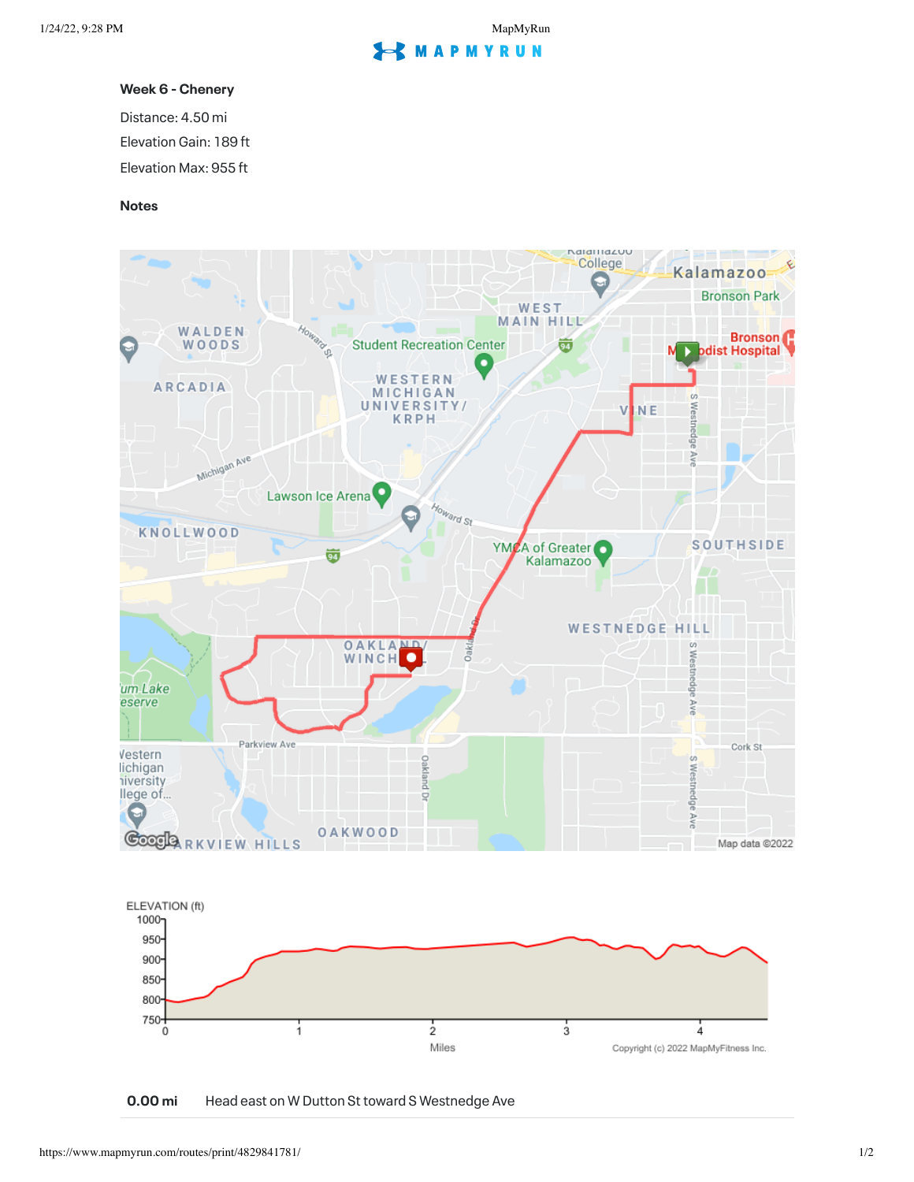## **S** MAPMYRUN

## **Week 6 - Chenery**

Distance: 4.50 mi

Elevation Gain: 189 ft

Elevation Max: 955 ft

## **Notes**